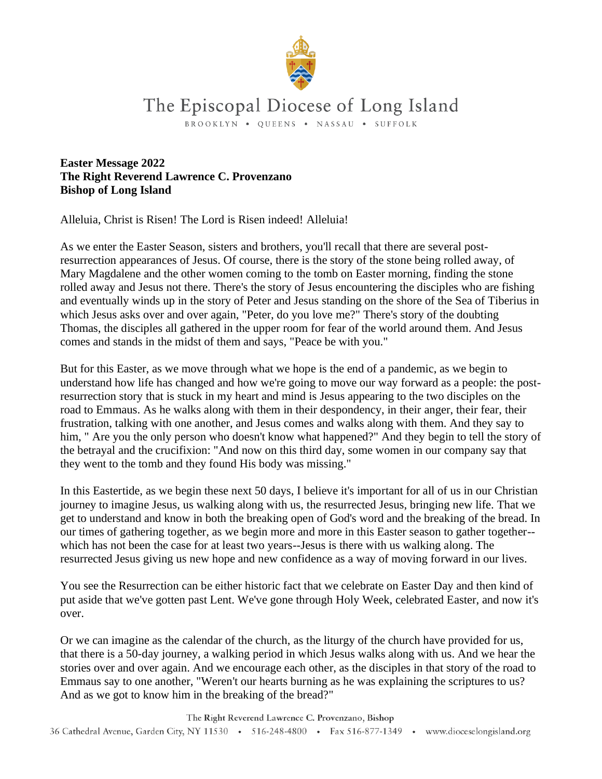

## The Episcopal Diocese of Long Island

BROOKLYN . OUEENS . NASSAU . SUFFOLK

**Easter Message 2022 The Right Reverend Lawrence C. Provenzano Bishop of Long Island**

Alleluia, Christ is Risen! The Lord is Risen indeed! Alleluia!

As we enter the Easter Season, sisters and brothers, you'll recall that there are several postresurrection appearances of Jesus. Of course, there is the story of the stone being rolled away, of Mary Magdalene and the other women coming to the tomb on Easter morning, finding the stone rolled away and Jesus not there. There's the story of Jesus encountering the disciples who are fishing and eventually winds up in the story of Peter and Jesus standing on the shore of the Sea of Tiberius in which Jesus asks over and over again, "Peter, do you love me?" There's story of the doubting Thomas, the disciples all gathered in the upper room for fear of the world around them. And Jesus comes and stands in the midst of them and says, "Peace be with you."

But for this Easter, as we move through what we hope is the end of a pandemic, as we begin to understand how life has changed and how we're going to move our way forward as a people: the postresurrection story that is stuck in my heart and mind is Jesus appearing to the two disciples on the road to Emmaus. As he walks along with them in their despondency, in their anger, their fear, their frustration, talking with one another, and Jesus comes and walks along with them. And they say to him, " Are you the only person who doesn't know what happened?" And they begin to tell the story of the betrayal and the crucifixion: "And now on this third day, some women in our company say that they went to the tomb and they found His body was missing."

In this Eastertide, as we begin these next 50 days, I believe it's important for all of us in our Christian journey to imagine Jesus, us walking along with us, the resurrected Jesus, bringing new life. That we get to understand and know in both the breaking open of God's word and the breaking of the bread. In our times of gathering together, as we begin more and more in this Easter season to gather together- which has not been the case for at least two years--Jesus is there with us walking along. The resurrected Jesus giving us new hope and new confidence as a way of moving forward in our lives.

You see the Resurrection can be either historic fact that we celebrate on Easter Day and then kind of put aside that we've gotten past Lent. We've gone through Holy Week, celebrated Easter, and now it's over.

Or we can imagine as the calendar of the church, as the liturgy of the church have provided for us, that there is a 50-day journey, a walking period in which Jesus walks along with us. And we hear the stories over and over again. And we encourage each other, as the disciples in that story of the road to Emmaus say to one another, "Weren't our hearts burning as he was explaining the scriptures to us? And as we got to know him in the breaking of the bread?"